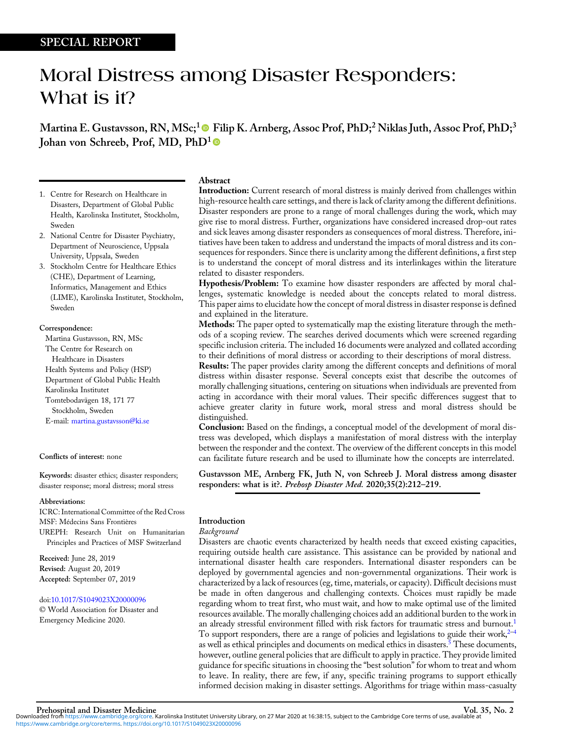# Moral Distress among Disaster Responders: What is it?

Martina E. Gustavsson, RN, MSc;<sup>1</sup> P Filip K. Arnberg, Assoc Prof, PhD;<sup>2</sup> Niklas Juth, Assoc Prof, PhD;<sup>3</sup> Johan von Schreeb, Prof, MD, PhD<sup>1</sup><sup>●</sup>

- 1. Centre for Research on Healthcare in Disasters, Department of Global Public Health, Karolinska Institutet, Stockholm, Sweden
- 2. National Centre for Disaster Psychiatry, Department of Neuroscience, Uppsala University, Uppsala, Sweden
- 3. Stockholm Centre for Healthcare Ethics (CHE), Department of Learning, Informatics, Management and Ethics (LIME), Karolinska Institutet, Stockholm, Sweden

## Correspondence:

Martina Gustavsson, RN, MSc The Centre for Research on Healthcare in Disasters Health Systems and Policy (HSP) Department of Global Public Health Karolinska Institutet Tomtebodavägen 18, 171 77 Stockholm, Sweden E-mail: [martina.gustavsson@ki.se](mailto:martina.gustavsson@ki.se)

# Conflicts of interest: none

Keywords: disaster ethics; disaster responders; disaster response; moral distress; moral stress

#### Abbreviations:

ICRC: International Committee of the Red Cross MSF: Médecins Sans Frontières

UREPH: Research Unit on Humanitarian Principles and Practices of MSF Switzerland

Received: June 28, 2019 Revised: August 20, 2019 Accepted: September 07, 2019

doi:[10.1017/S1049023X20000096](https://doi.org/10.1017/S1049023X20000096)

© World Association for Disaster and Emergency Medicine 2020.

# Abstract

Introduction: Current research of moral distress is mainly derived from challenges within high-resource health care settings, and there is lack of clarity among the different definitions. Disaster responders are prone to a range of moral challenges during the work, which may give rise to moral distress. Further, organizations have considered increased drop-out rates and sick leaves among disaster responders as consequences of moral distress. Therefore, initiatives have been taken to address and understand the impacts of moral distress and its consequences for responders. Since there is unclarity among the different definitions, a first step is to understand the concept of moral distress and its interlinkages within the literature related to disaster responders.

Hypothesis/Problem: To examine how disaster responders are affected by moral challenges, systematic knowledge is needed about the concepts related to moral distress. This paper aims to elucidate how the concept of moral distress in disaster response is defined and explained in the literature.

Methods: The paper opted to systematically map the existing literature through the methods of a scoping review. The searches derived documents which were screened regarding specific inclusion criteria. The included 16 documents were analyzed and collated according to their definitions of moral distress or according to their descriptions of moral distress.

Results: The paper provides clarity among the different concepts and definitions of moral distress within disaster response. Several concepts exist that describe the outcomes of morally challenging situations, centering on situations when individuals are prevented from acting in accordance with their moral values. Their specific differences suggest that to achieve greater clarity in future work, moral stress and moral distress should be distinguished.

Conclusion: Based on the findings, a conceptual model of the development of moral distress was developed, which displays a manifestation of moral distress with the interplay between the responder and the context. The overview of the different concepts in this model can facilitate future research and be used to illuminate how the concepts are interrelated.

Gustavsson ME, Arnberg FK, Juth N, von Schreeb J. Moral distress among disaster responders: what is it?. Prehosp Disaster Med. 2020;35(2):212-219.

# Introduction

## Background

Disasters are chaotic events characterized by health needs that exceed existing capacities, requiring outside health care assistance. This assistance can be provided by national and international disaster health care responders. International disaster responders can be deployed by governmental agencies and non-governmental organizations. Their work is characterized by a lack of resources (eg, time, materials, or capacity). Difficult decisions must be made in often dangerous and challenging contexts. Choices must rapidly be made regarding whom to treat first, who must wait, and how to make optimal use of the limited resources available. The morally challenging choices add an additional burden to the work in an already stressful environment filled with risk factors for traumatic stress and burnout.<sup>[1](#page-6-0)</sup> To support responders, there are a range of policies and legislations to guide their work,  $2-4$  $2-4$ as well as ethical principles and documents on medical ethics in disasters.<sup>5</sup> These documents, however, outline general policies that are difficult to apply in practice. They provide limited guidance for specific situations in choosing the "best solution" for whom to treat and whom to leave. In reality, there are few, if any, specific training programs to support ethically informed decision making in disaster settings. Algorithms for triage within mass-casualty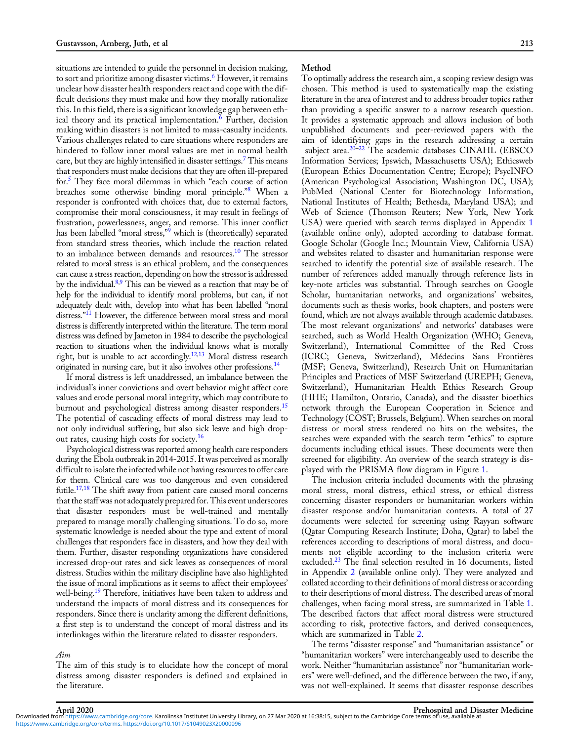situations are intended to guide the personnel in decision making, to sort and prioritize among disaster victims.<sup>[6](#page-6-0)</sup> However, it remains unclear how disaster health responders react and cope with the difficult decisions they must make and how they morally rationalize this. In this field, there is a significant knowledge gap between eth-ical theory and its practical implementation.<sup>[6](#page-6-0)</sup> Further, decision making within disasters is not limited to mass-casualty incidents. Various challenges related to care situations where responders are hindered to follow inner moral values are met in normal health care, but they are highly intensified in disaster settings.[7](#page-6-0) This means that responders must make decisions that they are often ill-prepared for.[5](#page-6-0) They face moral dilemmas in which "each course of action breaches some otherwise binding moral principle."<sup>[8](#page-6-0)</sup> When a responder is confronted with choices that, due to external factors, compromise their moral consciousness, it may result in feelings of frustration, powerlessness, anger, and remorse. This inner conflict has been labelled "moral stress," [9](#page-6-0) which is (theoretically) separated from standard stress theories, which include the reaction related to an imbalance between demands and resources.<sup>[10](#page-7-0)</sup> The stressor related to moral stress is an ethical problem, and the consequences can cause a stress reaction, depending on how the stressor is addressed by the individual.<sup>8,9</sup> This can be viewed as a reaction that may be of help for the individual to identify moral problems, but can, if not adequately dealt with, develop into what has been labelled "moral distress."<sup>[11](#page-7-0)</sup> However, the difference between moral stress and moral distress is differently interpreted within the literature. The term moral distress was defined by Jameton in 1984 to describe the psychological reaction to situations when the individual knows what is morally right, but is unable to act accordingly.<sup>12,13</sup> Moral distress research originated in nursing care, but it also involves other professions.[14](#page-7-0)

If moral distress is left unaddressed, an imbalance between the individual's inner convictions and overt behavior might affect core values and erode personal moral integrity, which may contribute to burnout and psychological distress among disaster responders.<sup>15</sup> The potential of cascading effects of moral distress may lead to not only individual suffering, but also sick leave and high drop-out rates, causing high costs for society.<sup>[16](#page-7-0)</sup>

Psychological distress was reported among health care responders during the Ebola outbreak in 2014-2015. It was perceived as morally difficult to isolate the infected while not having resources to offer care for them. Clinical care was too dangerous and even considered futile[.17,18](#page-7-0) The shift away from patient care caused moral concerns that the staff was not adequately prepared for. This event underscores that disaster responders must be well-trained and mentally prepared to manage morally challenging situations. To do so, more systematic knowledge is needed about the type and extent of moral challenges that responders face in disasters, and how they deal with them. Further, disaster responding organizations have considered increased drop-out rates and sick leaves as consequences of moral distress. Studies within the military discipline have also highlighted the issue of moral implications as it seems to affect their employees' well-being.<sup>19</sup> Therefore, initiatives have been taken to address and understand the impacts of moral distress and its consequences for responders. Since there is unclarity among the different definitions, a first step is to understand the concept of moral distress and its interlinkages within the literature related to disaster responders.

# Aim

The aim of this study is to elucidate how the concept of moral distress among disaster responders is defined and explained in the literature.

To optimally address the research aim, a scoping review design was chosen. This method is used to systematically map the existing literature in the area of interest and to address broader topics rather than providing a specific answer to a narrow research question. It provides a systematic approach and allows inclusion of both unpublished documents and peer-reviewed papers with the aim of identifying gaps in the research addressing a certain subject area.<sup>[20](#page-7-0)–[22](#page-7-0)</sup> The academic databases CINAHL (EBSCO Information Services; Ipswich, Massachusetts USA); Ethicsweb (European Ethics Documentation Centre; Europe); PsycINFO (American Psychological Association; Washington DC, USA); PubMed (National Center for Biotechnology Information, National Institutes of Health; Bethesda, Maryland USA); and Web of Science (Thomson Reuters; New York, New York USA) were queried with search terms displayed in Appendix [1](https://doi.org/10.1017/S1049023X20000096) (available online only), adopted according to database format. Google Scholar (Google Inc.; Mountain View, California USA) and websites related to disaster and humanitarian response were searched to identify the potential size of available research. The number of references added manually through reference lists in key-note articles was substantial. Through searches on Google Scholar, humanitarian networks, and organizations' websites, documents such as thesis works, book chapters, and posters were found, which are not always available through academic databases. The most relevant organizations' and networks' databases were searched, such as World Health Organization (WHO; Geneva, Switzerland), International Committee of the Red Cross (ICRC; Geneva, Switzerland), Médecins Sans Frontières (MSF; Geneva, Switzerland), Research Unit on Humanitarian Principles and Practices of MSF Switzerland (UREPH; Geneva, Switzerland), Humanitarian Health Ethics Research Group (HHE; Hamilton, Ontario, Canada), and the disaster bioethics network through the European Cooperation in Science and Technology (COST; Brussels, Belgium). When searches on moral distress or moral stress rendered no hits on the websites, the searches were expanded with the search term "ethics" to capture documents including ethical issues. These documents were then screened for eligibility. An overview of the search strategy is displayed with the PRISMA flow diagram in Figure [1](#page-2-0).

The inclusion criteria included documents with the phrasing moral stress, moral distress, ethical stress, or ethical distress concerning disaster responders or humanitarian workers within disaster response and/or humanitarian contexts. A total of 27 documents were selected for screening using Rayyan software (Qatar Computing Research Institute; Doha, Qatar) to label the references according to descriptions of moral distress, and documents not eligible according to the inclusion criteria were excluded.<sup>[23](#page-7-0)</sup> The final selection resulted in 16 documents, listed in Appendix [2](https://doi.org/10.1017/S1049023X20000096) (available online only). They were analyzed and collated according to their definitions of moral distress or according to their descriptions of moral distress. The described areas of moral challenges, when facing moral stress, are summarized in Table 1. The described factors that affect moral distress were structured according to risk, protective factors, and derived consequences, which are summarized in Table 2.

The terms "disaster response" and "humanitarian assistance" or "humanitarian workers" were interchangeably used to describe the work. Neither "humanitarian assistance" nor "humanitarian workers" were well-defined, and the difference between the two, if any, was not well-explained. It seems that disaster response describes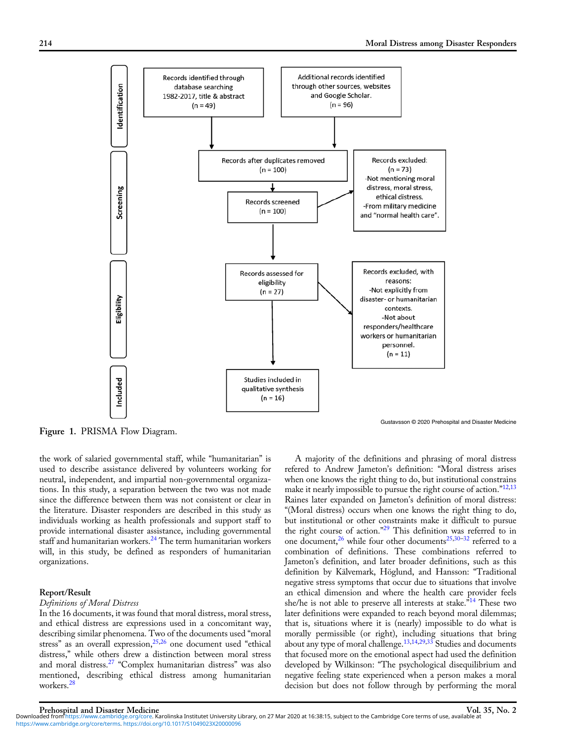<span id="page-2-0"></span>

Figure 1. PRISMA Flow Diagram.

the work of salaried governmental staff, while "humanitarian" is used to describe assistance delivered by volunteers working for neutral, independent, and impartial non-governmental organizations. In this study, a separation between the two was not made since the difference between them was not consistent or clear in the literature. Disaster responders are described in this study as individuals working as health professionals and support staff to provide international disaster assistance, including governmental staff and humanitarian workers.<sup>[24](#page-7-0)</sup> The term humanitarian workers will, in this study, be defined as responders of humanitarian organizations.

## Report/Result

## Definitions of Moral Distress

In the 16 documents, it was found that moral distress, moral stress, and ethical distress are expressions used in a concomitant way, describing similar phenomena. Two of the documents used "moral stress" as an overall expression, $25,26$  one document used "ethical distress," while others drew a distinction between moral stress and moral distress.[27](#page-7-0) "Complex humanitarian distress" was also mentioned, describing ethical distress among humanitarian workers.[28](#page-7-0)

A majority of the definitions and phrasing of moral distress refered to Andrew Jameton's definition: "Moral distress arises when one knows the right thing to do, but institutional constrains make it nearly impossible to pursue the right course of action."<sup>[12,13](#page-7-0)</sup> Raines later expanded on Jameton's definition of moral distress: "(Moral distress) occurs when one knows the right thing to do, but institutional or other constraints make it difficult to pursue the right course of action."<sup>[29](#page-7-0)</sup> This definition was referred to in one document,<sup>[26](#page-7-0)</sup> while four other documents<sup>[25,30](#page-7-0)–[32](#page-7-0)</sup> referred to a combination of definitions. These combinations referred to Jameton's definition, and later broader definitions, such as this definition by Kälvemark, Höglund, and Hansson: "Traditional negative stress symptoms that occur due to situations that involve an ethical dimension and where the health care provider feels she/he is not able to preserve all interests at stake."<sup>[14](#page-7-0)</sup> These two later definitions were expanded to reach beyond moral dilemmas; that is, situations where it is (nearly) impossible to do what is morally permissible (or right), including situations that bring about any type of moral challenge.<sup>[13](#page-7-0),[14,29,33](#page-7-0)</sup> Studies and documents that focused more on the emotional aspect had used the definition developed by Wilkinson: "The psychological disequilibrium and negative feeling state experienced when a person makes a moral decision but does not follow through by performing the moral

Prehospital and Disaster Medicine<br>Downloaded from [https://www.cambridge.org/core.](https://www.cambridge.org/core) Karolinska Institutet University Library, on 27 Mar 2020 at 16:38:15, subject to the Cambridge Core terms of use, available at [https://www.cambridge.org/core/terms.](https://www.cambridge.org/core/terms) <https://doi.org/10.1017/S1049023X20000096>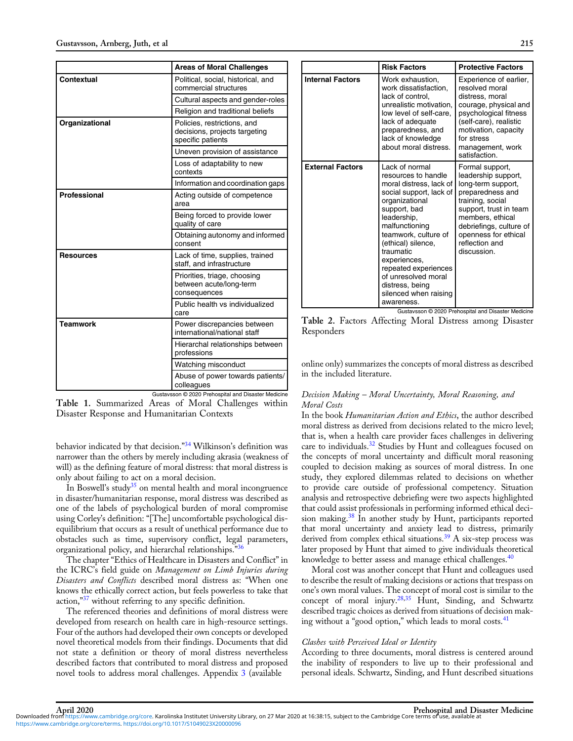|                   | <b>Areas of Moral Challenges</b>                                                  |
|-------------------|-----------------------------------------------------------------------------------|
| <b>Contextual</b> | Political, social, historical, and<br>commercial structures                       |
|                   | Cultural aspects and gender-roles                                                 |
|                   | Religion and traditional beliefs                                                  |
| Organizational    | Policies, restrictions, and<br>decisions, projects targeting<br>specific patients |
|                   | Uneven provision of assistance                                                    |
|                   | Loss of adaptability to new<br>contexts                                           |
|                   | Information and coordination gaps                                                 |
| Professional      | Acting outside of competence<br>area                                              |
|                   | Being forced to provide lower<br>quality of care                                  |
|                   | Obtaining autonomy and informed<br>consent                                        |
| <b>Resources</b>  | Lack of time, supplies, trained<br>staff, and infrastructure                      |
|                   | Priorities, triage, choosing<br>between acute/long-term<br>consequences           |
|                   | Public health vs individualized<br>care                                           |
| <b>Teamwork</b>   | Power discrepancies between<br>international/national staff                       |
|                   | Hierarchal relationships between<br>professions                                   |
|                   | Watching misconduct                                                               |
|                   | Abuse of power towards patients/<br>colleagues                                    |

Gustavsson © 2020 Prehospital and Disaster Medicine Table 1. Summarized Areas of Moral Challenges within Disaster Response and Humanitarian Contexts

behavior indicated by that decision."<sup>[34](#page-7-0)</sup> Wilkinson's definition was narrower than the others by merely including akrasia (weakness of will) as the defining feature of moral distress: that moral distress is only about failing to act on a moral decision.

In Boswell's study $35$  on mental health and moral incongruence in disaster/humanitarian response, moral distress was described as one of the labels of psychological burden of moral compromise using Corley's definition: "[The] uncomfortable psychological disequilibrium that occurs as a result of unethical performance due to obstacles such as time, supervisory conflict, legal parameters, organizational policy, and hierarchal relationships."[36](#page-7-0)

The chapter "Ethics of Healthcare in Disasters and Conflict" in the ICRC's field guide on Management on Limb Injuries during Disasters and Conflicts described moral distress as: "When one knows the ethically correct action, but feels powerless to take that action,"<sup>[37](#page-7-0)</sup> without referring to any specific definition.

The referenced theories and definitions of moral distress were developed from research on health care in high-resource settings. Four of the authors had developed their own concepts or developed novel theoretical models from their findings. Documents that did not state a definition or theory of moral distress nevertheless described factors that contributed to moral distress and proposed novel tools to address moral challenges. Appendix [3](https://doi.org/10.1017/S1049023X20000096) (available

|                         | <b>Risk Factors</b>                                                                                                                                                                                                                                                                                                                                | <b>Protective Factors</b>                                                                                                                                                                                                              |
|-------------------------|----------------------------------------------------------------------------------------------------------------------------------------------------------------------------------------------------------------------------------------------------------------------------------------------------------------------------------------------------|----------------------------------------------------------------------------------------------------------------------------------------------------------------------------------------------------------------------------------------|
| <b>Internal Factors</b> | Work exhaustion.<br>work dissatisfaction.<br>lack of control,<br>unrealistic motivation.<br>low level of self-care,<br>lack of adequate<br>preparedness, and<br>lack of knowledge<br>about moral distress.                                                                                                                                         | Experience of earlier,<br>resolved moral<br>distress, moral<br>courage, physical and<br>psychological fitness<br>(self-care), realistic<br>motivation, capacity<br>for stress<br>management, work<br>satisfaction.                     |
| <b>External Factors</b> | Lack of normal<br>resources to handle<br>moral distress, lack of<br>social support, lack of<br>organizational<br>support, bad<br>leadership,<br>malfunctioning<br>teamwork, culture of<br>(ethical) silence,<br>traumatic<br>experiences,<br>repeated experiences<br>of unresolved moral<br>distress, being<br>silenced when raising<br>awareness. | Formal support,<br>leadership support,<br>long-term support,<br>preparedness and<br>training, social<br>support, trust in team<br>members, ethical<br>debriefings, culture of<br>openness for ethical<br>reflection and<br>discussion. |

Table 2. Factors Affecting Moral Distress among Disaster Responders

online only) summarizes the concepts of moral distress as described in the included literature.

# Decision Making – Moral Uncertainty, Moral Reasoning, and Moral Costs

In the book *Humanitarian Action and Ethics*, the author described moral distress as derived from decisions related to the micro level; that is, when a health care provider faces challenges in delivering care to individuals.<sup>[32](#page-7-0)</sup> Studies by Hunt and colleagues focused on the concepts of moral uncertainty and difficult moral reasoning coupled to decision making as sources of moral distress. In one study, they explored dilemmas related to decisions on whether to provide care outside of professional competency. Situation analysis and retrospective debriefing were two aspects highlighted that could assist professionals in performing informed ethical deci-sion making.<sup>[38](#page-7-0)</sup> In another study by Hunt, participants reported that moral uncertainty and anxiety lead to distress, primarily derived from complex ethical situations.<sup>[39](#page-7-0)</sup> A six-step process was later proposed by Hunt that aimed to give individuals theoretical knowledge to better assess and manage ethical challenges.<sup>[40](#page-7-0)</sup>

Moral cost was another concept that Hunt and colleagues used to describe the result of making decisions or actions that trespass on one's own moral values. The concept of moral cost is similar to the concept of moral injury.<sup>[28,35](#page-7-0)</sup> Hunt, Sinding, and Schwartz described tragic choices as derived from situations of decision mak-ing without a "good option," which leads to moral costs.<sup>[41](#page-7-0)</sup>

# Clashes with Perceived Ideal or Identity

According to three documents, moral distress is centered around the inability of responders to live up to their professional and personal ideals. Schwartz, Sinding, and Hunt described situations

[https://www.cambridge.org/core/terms.](https://www.cambridge.org/core/terms) <https://doi.org/10.1017/S1049023X20000096>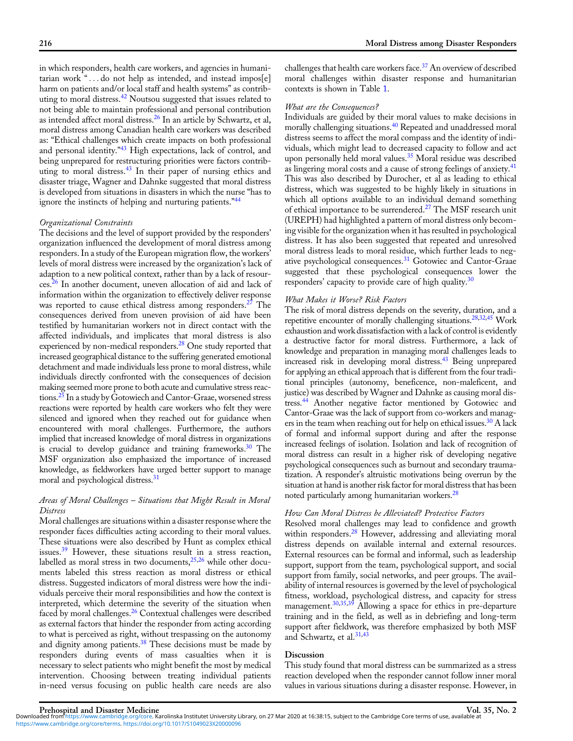in which responders, health care workers, and agencies in humanitarian work "...do not help as intended, and instead impos[e] harm on patients and/or local staff and health systems" as contrib-uting to moral distress.<sup>[42](#page-7-0)</sup> Noutsou suggested that issues related to not being able to maintain professional and personal contribution as intended affect moral distress.[26](#page-7-0) In an article by Schwartz, et al, moral distress among Canadian health care workers was described as: "Ethical challenges which create impacts on both professional and personal identity."<sup>[43](#page-7-0)</sup> High expectations, lack of control, and being unprepared for restructuring priorities were factors contributing to moral distress.<sup>43</sup> In their paper of nursing ethics and disaster triage, Wagner and Dahnke suggested that moral distress is developed from situations in disasters in which the nurse "has to ignore the instincts of helping and nurturing patients."<sup>[44](#page-7-0)</sup>

# Organizational Constraints

The decisions and the level of support provided by the responders' organization influenced the development of moral distress among responders. In a study of the European migration flow, the workers' levels of moral distress were increased by the organization's lack of adaption to a new political context, rather than by a lack of resources.[26](#page-7-0) In another document, uneven allocation of aid and lack of information within the organization to effectively deliver response was reported to cause ethical distress among responders.<sup>[27](#page-7-0)</sup> The consequences derived from uneven provision of aid have been testified by humanitarian workers not in direct contact with the affected individuals, and implicates that moral distress is also experienced by non-medical responders.<sup>[28](#page-7-0)</sup> One study reported that increased geographical distance to the suffering generated emotional detachment and made individuals less prone to moral distress, while individuals directly confronted with the consequences of decision making seemed more prone to both acute and cumulative stress reactions[.25](#page-7-0) In a study by Gotowiech and Cantor-Graae, worsened stress reactions were reported by health care workers who felt they were silenced and ignored when they reached out for guidance when encountered with moral challenges. Furthermore, the authors implied that increased knowledge of moral distress in organizations is crucial to develop guidance and training frameworks.<sup>[30](#page-7-0)</sup> The MSF organization also emphasized the importance of increased knowledge, as fieldworkers have urged better support to manage moral and psychological distress.<sup>[31](#page-7-0)</sup>

# Areas of Moral Challenges – Situations that Might Result in Moral Distress

Moral challenges are situations within a disaster response where the responder faces difficulties acting according to their moral values. These situations were also described by Hunt as complex ethical issues.[39](#page-7-0) However, these situations result in a stress reaction, labelled as moral stress in two documents, $25,26$  $25,26$  $25,26$  while other documents labeled this stress reaction as moral distress or ethical distress. Suggested indicators of moral distress were how the individuals perceive their moral responsibilities and how the context is interpreted, which determine the severity of the situation when faced by moral challenges.<sup>[26](#page-7-0)</sup> Contextual challenges were described as external factors that hinder the responder from acting according to what is perceived as right, without trespassing on the autonomy and dignity among patients.<sup>[38](#page-7-0)</sup> These decisions must be made by responders during events of mass casualties when it is necessary to select patients who might benefit the most by medical intervention. Choosing between treating individual patients in-need versus focusing on public health care needs are also

challenges that health care workers face.<sup>[37](#page-7-0)</sup> An overview of described moral challenges within disaster response and humanitarian contexts is shown in Table 1.

# What are the Consequences?

Individuals are guided by their moral values to make decisions in morally challenging situations.[40](#page-7-0) Repeated and unaddressed moral distress seems to affect the moral compass and the identity of individuals, which might lead to decreased capacity to follow and act upon personally held moral values.<sup>[35](#page-7-0)</sup> Moral residue was described as lingering moral costs and a cause of strong feelings of anxiety.<sup>[41](#page-7-0)</sup> This was also described by Durocher, et al as leading to ethical distress, which was suggested to be highly likely in situations in which all options available to an individual demand something of ethical importance to be surrendered.<sup>[27](#page-7-0)</sup> The MSF research unit (UREPH) had highlighted a pattern of moral distress only becoming visible for the organization when it has resulted in psychological distress. It has also been suggested that repeated and unresolved moral distress leads to moral residue, which further leads to negative psychological consequences.[31](#page-7-0) Gotowiec and Cantor-Graae suggested that these psychological consequences lower the responders' capacity to provide care of high quality.<sup>[30](#page-7-0)</sup>

#### What Makes it Worse? Risk Factors

The risk of moral distress depends on the severity, duration, and a repetitive encounter of morally challenging situations[.28,32,45](#page-7-0) Work exhaustion and work dissatisfaction with a lack of control is evidently a destructive factor for moral distress. Furthermore, a lack of knowledge and preparation in managing moral challenges leads to increased risk in developing moral distress.<sup>[43](#page-7-0)</sup> Being unprepared for applying an ethical approach that is different from the four traditional principles (autonomy, beneficence, non-maleficent, and justice) was described by Wagner and Dahnke as causing moral distress.[44](#page-7-0) Another negative factor mentioned by Gotowiec and Cantor-Graae was the lack of support from co-workers and managers in the team when reaching out for help on ethical issues.<sup>30</sup> A lack of formal and informal support during and after the response increased feelings of isolation. Isolation and lack of recognition of moral distress can result in a higher risk of developing negative psychological consequences such as burnout and secondary traumatization. A responder's altruistic motivations being overrun by the situation at hand is another risk factor for moral distress that has been noted particularly among humanitarian workers.<sup>[28](#page-7-0)</sup>

# How Can Moral Distress be Alleviated? Protective Factors

Resolved moral challenges may lead to confidence and growth within responders.<sup>28</sup> However, addressing and alleviating moral distress depends on available internal and external resources. External resources can be formal and informal, such as leadership support, support from the team, psychological support, and social support from family, social networks, and peer groups. The availability of internal resources is governed by the level of psychological fitness, workload, psychological distress, and capacity for stress management.[30](#page-7-0),[35](#page-7-0),[39](#page-7-0) Allowing a space for ethics in pre-departure training and in the field, as well as in debriefing and long-term support after fieldwork, was therefore emphasized by both MSF and Schwartz, et al.<sup>[31](#page-7-0),[43](#page-7-0)</sup>

# Discussion

This study found that moral distress can be summarized as a stress reaction developed when the responder cannot follow inner moral values in various situations during a disaster response. However, in

[https://www.cambridge.org/core/terms.](https://www.cambridge.org/core/terms) <https://doi.org/10.1017/S1049023X20000096>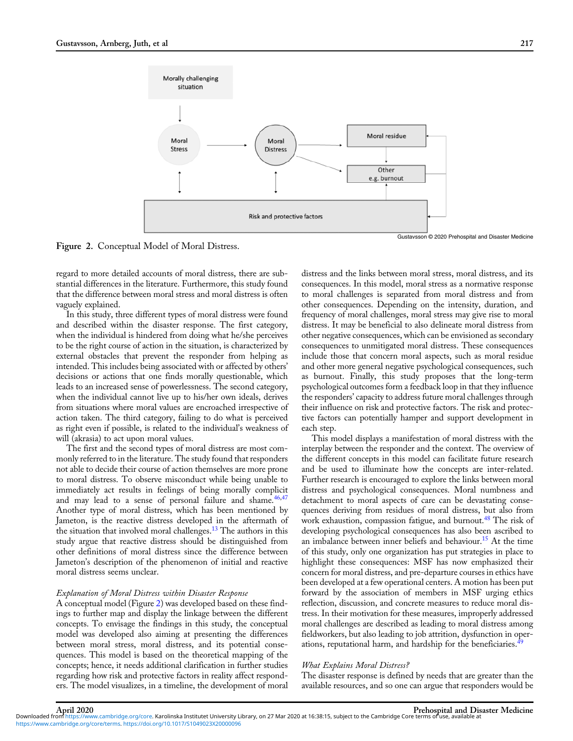

Figure 2. Conceptual Model of Moral Distress.

regard to more detailed accounts of moral distress, there are substantial differences in the literature. Furthermore, this study found that the difference between moral stress and moral distress is often vaguely explained.

In this study, three different types of moral distress were found and described within the disaster response. The first category, when the individual is hindered from doing what he/she perceives to be the right course of action in the situation, is characterized by external obstacles that prevent the responder from helping as intended. This includes being associated with or affected by others' decisions or actions that one finds morally questionable, which leads to an increased sense of powerlessness. The second category, when the individual cannot live up to his/her own ideals, derives from situations where moral values are encroached irrespective of action taken. The third category, failing to do what is perceived as right even if possible, is related to the individual's weakness of will (akrasia) to act upon moral values.

The first and the second types of moral distress are most commonly referred to in the literature. The study found that responders not able to decide their course of action themselves are more prone to moral distress. To observe misconduct while being unable to immediately act results in feelings of being morally complicit and may lead to a sense of personal failure and shame.<sup>[46,47](#page-7-0)</sup> Another type of moral distress, which has been mentioned by Jameton, is the reactive distress developed in the aftermath of the situation that involved moral challenges.<sup>[13](#page-7-0)</sup> The authors in this study argue that reactive distress should be distinguished from other definitions of moral distress since the difference between Jameton's description of the phenomenon of initial and reactive moral distress seems unclear.

## Explanation of Moral Distress within Disaster Response

A conceptual model (Figure 2) was developed based on these findings to further map and display the linkage between the different concepts. To envisage the findings in this study, the conceptual model was developed also aiming at presenting the differences between moral stress, moral distress, and its potential consequences. This model is based on the theoretical mapping of the concepts; hence, it needs additional clarification in further studies regarding how risk and protective factors in reality affect responders. The model visualizes, in a timeline, the development of moral

distress and the links between moral stress, moral distress, and its consequences. In this model, moral stress as a normative response to moral challenges is separated from moral distress and from other consequences. Depending on the intensity, duration, and frequency of moral challenges, moral stress may give rise to moral distress. It may be beneficial to also delineate moral distress from other negative consequences, which can be envisioned as secondary consequences to unmitigated moral distress. These consequences include those that concern moral aspects, such as moral residue and other more general negative psychological consequences, such as burnout. Finally, this study proposes that the long-term psychological outcomes form a feedback loop in that they influence the responders' capacity to address future moral challenges through their influence on risk and protective factors. The risk and protective factors can potentially hamper and support development in each step.

This model displays a manifestation of moral distress with the interplay between the responder and the context. The overview of the different concepts in this model can facilitate future research and be used to illuminate how the concepts are inter-related. Further research is encouraged to explore the links between moral distress and psychological consequences. Moral numbness and detachment to moral aspects of care can be devastating consequences deriving from residues of moral distress, but also from work exhaustion, compassion fatigue, and burnout.<sup>[48](#page-7-0)</sup> The risk of developing psychological consequences has also been ascribed to an imbalance between inner beliefs and behaviour.<sup>[15](#page-7-0)</sup> At the time of this study, only one organization has put strategies in place to highlight these consequences: MSF has now emphasized their concern for moral distress, and pre-departure courses in ethics have been developed at a few operational centers. A motion has been put forward by the association of members in MSF urging ethics reflection, discussion, and concrete measures to reduce moral distress. In their motivation for these measures, improperly addressed moral challenges are described as leading to moral distress among fieldworkers, but also leading to job attrition, dysfunction in oper-ations, reputational harm, and hardship for the beneficiaries.<sup>[49](#page-7-0)</sup>

#### What Explains Moral Distress?

The disaster response is defined by needs that are greater than the available resources, and so one can argue that responders would be

April 2020 April 2020 Prehospital and Disaster Medicine<br>Downloaded from [https://www.cambridge.org/core.](https://www.cambridge.org/core) Karolinska Institutet University Library, on 27 Mar 2020 at 16:38:15, subject to the Cambridge Core terms of use, avai [https://www.cambridge.org/core/terms.](https://www.cambridge.org/core/terms) <https://doi.org/10.1017/S1049023X20000096>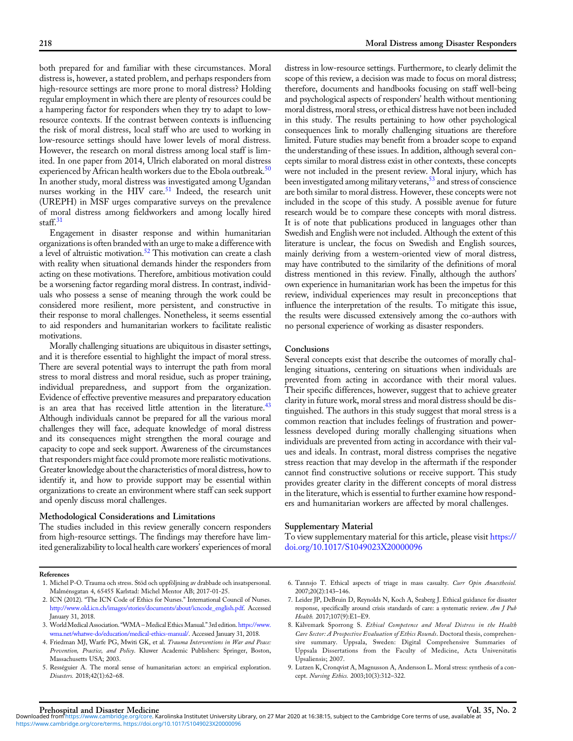<span id="page-6-0"></span>both prepared for and familiar with these circumstances. Moral distress is, however, a stated problem, and perhaps responders from high-resource settings are more prone to moral distress? Holding regular employment in which there are plenty of resources could be a hampering factor for responders when they try to adapt to lowresource contexts. If the contrast between contexts is influencing the risk of moral distress, local staff who are used to working in low-resource settings should have lower levels of moral distress. However, the research on moral distress among local staff is limited. In one paper from 2014, Ulrich elaborated on moral distress experienced by African health workers due to the Ebola outbreak.<sup>[50](#page-7-0)</sup> In another study, moral distress was investigated among Ugandan nurses working in the HIV care.<sup>[51](#page-7-0)</sup> Indeed, the research unit (UREPH) in MSF urges comparative surveys on the prevalence of moral distress among fieldworkers and among locally hired staff.<sup>[31](#page-7-0)</sup>

Engagement in disaster response and within humanitarian organizations is often branded with an urge to make a difference with a level of altruistic motivation.<sup>52</sup> This motivation can create a clash with reality when situational demands hinder the responders from acting on these motivations. Therefore, ambitious motivation could be a worsening factor regarding moral distress. In contrast, individuals who possess a sense of meaning through the work could be considered more resilient, more persistent, and constructive in their response to moral challenges. Nonetheless, it seems essential to aid responders and humanitarian workers to facilitate realistic motivations.

Morally challenging situations are ubiquitous in disaster settings, and it is therefore essential to highlight the impact of moral stress. There are several potential ways to interrupt the path from moral stress to moral distress and moral residue, such as proper training, individual preparedness, and support from the organization. Evidence of effective preventive measures and preparatory education is an area that has received little attention in the literature.<sup>43</sup> Although individuals cannot be prepared for all the various moral challenges they will face, adequate knowledge of moral distress and its consequences might strengthen the moral courage and capacity to cope and seek support. Awareness of the circumstances that responders might face could promote more realistic motivations. Greater knowledge about the characteristics of moral distress, how to identify it, and how to provide support may be essential within organizations to create an environment where staff can seek support and openly discuss moral challenges.

## Methodological Considerations and Limitations

The studies included in this review generally concern responders from high-resource settings. The findings may therefore have limited generalizability to local health care workers' experiences of moral distress in low-resource settings. Furthermore, to clearly delimit the scope of this review, a decision was made to focus on moral distress; therefore, documents and handbooks focusing on staff well-being and psychological aspects of responders' health without mentioning moral distress, moral stress, or ethical distress have not been included in this study. The results pertaining to how other psychological consequences link to morally challenging situations are therefore limited. Future studies may benefit from a broader scope to expand the understanding of these issues. In addition, although several concepts similar to moral distress exist in other contexts, these concepts were not included in the present review. Moral injury, which has been investigated among military veterans,<sup>53</sup> and stress of conscience are both similar to moral distress. However, these concepts were not included in the scope of this study. A possible avenue for future research would be to compare these concepts with moral distress. It is of note that publications produced in languages other than Swedish and English were not included. Although the extent of this literature is unclear, the focus on Swedish and English sources, mainly deriving from a western-oriented view of moral distress, may have contributed to the similarity of the definitions of moral distress mentioned in this review. Finally, although the authors' own experience in humanitarian work has been the impetus for this review, individual experiences may result in preconceptions that influence the interpretation of the results. To mitigate this issue, the results were discussed extensively among the co-authors with no personal experience of working as disaster responders.

# Conclusions

Several concepts exist that describe the outcomes of morally challenging situations, centering on situations when individuals are prevented from acting in accordance with their moral values. Their specific differences, however, suggest that to achieve greater clarity in future work, moral stress and moral distress should be distinguished. The authors in this study suggest that moral stress is a common reaction that includes feelings of frustration and powerlessness developed during morally challenging situations when individuals are prevented from acting in accordance with their values and ideals. In contrast, moral distress comprises the negative stress reaction that may develop in the aftermath if the responder cannot find constructive solutions or receive support. This study provides greater clarity in the different concepts of moral distress in the literature, which is essential to further examine how responders and humanitarian workers are affected by moral challenges.

#### Supplementary Material

To view supplementary material for this article, please visit [https://](https://doi.org/10.1017/S1049023X20000096) [doi.org/10.1017/S1049023X20000096](https://doi.org/10.1017/S1049023X20000096)

#### References

- 1. Michel P-O. Trauma och stress. Stöd och uppföljning av drabbade och insatspersonal. Malménsgatan 4, 65455 Karlstad: Michel Mentor AB; 2017-01-25.
- 2. ICN (2012). "The ICN Code of Ethics for Nurses." International Council of Nurses. [http://www.old.icn.ch/images/stories/documents/about/icncode\\_english.pdf](http://www.old.icn.ch/images/stories/documents/about/icncode_english.pdf). Accessed January 31, 2018.
- 3. World Medical Association. "WMA Medical Ethics Manual." 3rd edition. [https://www.](https://www.wma.net/whatwe-do/education/medical-ethics-manual/) [wma.net/whatwe-do/education/medical-ethics-manual/](https://www.wma.net/whatwe-do/education/medical-ethics-manual/). Accessed January 31, 2018.
- 4. Friedman MJ, Warfe PG, Mwiti GK, et al. Trauma Interventions in War and Peace: Prevention, Practice, and Policy. Kluwer Academic Publishers: Springer, Boston, Massachusetts USA; 2003.
- 5. Rességuier A. The moral sense of humanitarian actors: an empirical exploration. Disasters. 2018;42(1):62–68.
- 6. Tannsjo T. Ethical aspects of triage in mass casualty. Curr Opin Anaesthesiol. 2007;20(2):143–146.
- 7. Leider JP, DeBruin D, Reynolds N, Koch A, Seaberg J. Ethical guidance for disaster response, specifically around crisis standards of care: a systematic review. Am J Pub Health. 2017;107(9):E1–E9.
- 8. Kälvemark Sporrong S. Ethical Competence and Moral Distress in the Health Care Sector: A Prospective Evaluation of Ethics Rounds. Doctoral thesis, comprehensive summary. Uppsala, Sweden: Digital Comprehensive Summaries of Uppsala Dissertations from the Faculty of Medicine, Acta Universitatis Upsaliensis; 2007.
- 9. Lutzen K, Cronqvist A, Magnusson A, Andersson L. Moral stress: synthesis of a concept. Nursing Ethics. 2003;10(3):312–322.